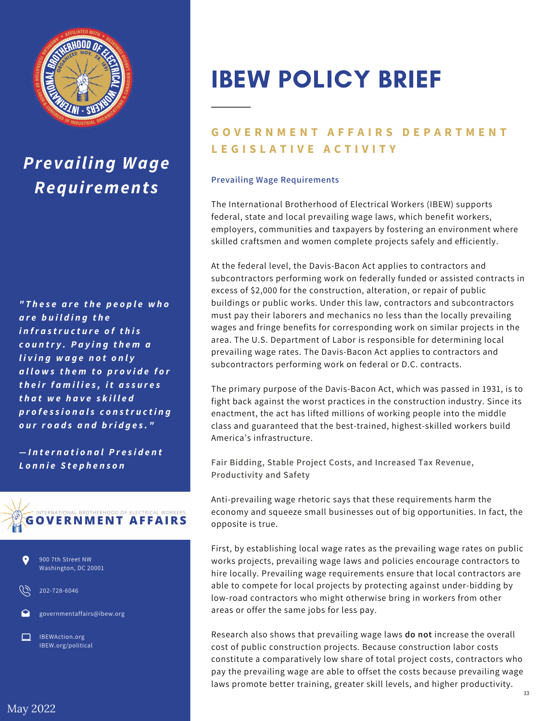

## *Prevailing Wage Requirements*

*" T h e s e a r e t h e p e o p le w h o a r e b u il d in g t h e i n fr a s tr u c t u r e o f t h i s c o u n tr y . P a y in g t h e m a l i v in g w a g e n o t o n l y a ll o w s t h e m t o p r o v i d e f o r t h e ir f a m i l i e s , i t a s s u r e s t h a t w e h a v e s k il l e d p r o f e s s i o n a ls c o n s tr u c t i n g o u r r o a d s a n d b ri d g e s . "*

*— I n t e r n a t i o n a lP r e s i d e n t L o n n ie S t e p h e n s o n*





202-728-6046

governmentaffairs@ibew.org

IBEWAction.org IBEW.org/political

# IBEW POLICY BRIEF

### **GOVERNMENT AFFAIRS DEPARTMENT L E G I S L A T I V E A C T I V I T Y**

#### **Prevailing Wage Requirements**

The International Brotherhood of Electrical Workers (IBEW) supports federal, state and local prevailing wage laws, which benefit workers, employers, communities and taxpayers by fostering an environment where skilled craftsmen and women complete projects safely and efficiently.

At the federal level, the Davis-Bacon Act applies to contractors and subcontractors performing work on federally funded or assisted contracts in excess of \$2,000 for the construction, alteration, or repair of public buildings or public works. Under this law, contractors and subcontractors must pay their laborers and mechanics no less than the locally prevailing wages and fringe benefits for corresponding work on similar projects in the area. The U.S. Department of Labor is responsible for determining local prevailing wage rates. The Davis-Bacon Act applies to contractors and subcontractors performing work on federal or D.C. contracts.

The primary purpose of the Davis-Bacon Act, which was passed in 1931, is to fight back against the worst practices in the construction industry. Since its enactment, the act has lifted millions of working people into the middle class and guaranteed that the best-trained, highest-skilled workers build America's infrastructure.

**Fair Bidding, Stable Project Costs, and Increased Tax Revenue, Productivity and Safety**

Anti-prevailing wage rhetoric says that these requirements harm the economy and squeeze small businesses out of big opportunities. In fact, the opposite is true.

First, by establishing local wage rates as the prevailing wage rates on public works projects, prevailing wage laws and policies encourage contractors to hire locally. Prevailing wage requirements ensure that local contractors are able to compete for local projects by protecting against under-bidding by low-road contractors who might otherwise bring in workers from other areas or offer the same jobs for less pay.

Research also shows that prevailing wage laws **do not** increase the overall cost of public construction projects. Because construction labor costs constitute a comparatively low share of total project costs, contractors who pay the prevailing wage are able to offset the costs because prevailing wage laws promote better training, greater skill levels, and higher productivity.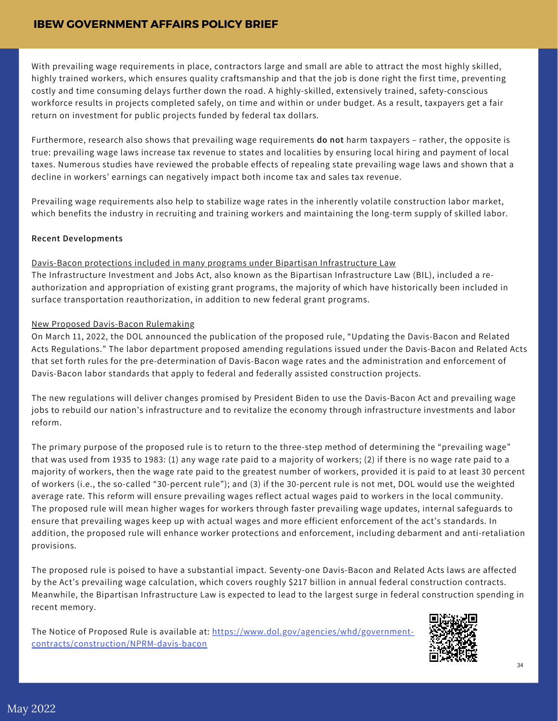With prevailing wage requirements in place, contractors large and small are able to attract the most highly skilled, highly trained workers, which ensures quality craftsmanship and that the job is done right the first time, preventing costly and time consuming delays further down the road. A highly-skilled, extensively trained, safety-conscious workforce results in projects completed safely, on time and within or under budget. As a result, taxpayers get a fair return on investment for public projects funded by federal tax dollars.

Furthermore, research also shows that prevailing wage requirements **do not** harm taxpayers – rather, the opposite is true: prevailing wage laws increase tax revenue to states and localities by ensuring local hiring and payment of local taxes. Numerous studies have reviewed the probable effects of repealing state prevailing wage laws and shown that a decline in workers' earnings can negatively impact both income tax and sales tax revenue.

Prevailing wage requirements also help to stabilize wage rates in the inherently volatile construction labor market, which benefits the industry in recruiting and training workers and maintaining the long-term supply of skilled labor.

#### **Recent Developments**

#### Davis-Bacon protections included in many programs under Bipartisan Infrastructure Law

The Infrastructure Investment and Jobs Act, also known as the Bipartisan Infrastructure Law (BIL), included a reauthorization and appropriation of existing grant programs, the majority of which have historically been included in surface transportation reauthorization, in addition to new federal grant programs.

#### New Proposed Davis-Bacon Rulemaking

On March 11, 2022, the DOL announced the publication of the proposed rule, "Updating the Davis-Bacon and Related Acts Regulations." The labor department proposed amending regulations issued under the Davis-Bacon and Related Acts that set forth rules for the pre-determination of Davis-Bacon wage rates and the administration and enforcement of Davis-Bacon labor standards that apply to federal and federally assisted construction projects.

The new regulations will deliver changes promised by President Biden to use the Davis-Bacon Act and prevailing wage jobs to rebuild our nation's infrastructure and to revitalize the economy through infrastructure investments and labor reform.

The primary purpose of the proposed rule is to return to the three-step method of determining the "prevailing wage" that was used from 1935 to 1983: (1) any wage rate paid to a majority of workers; (2) if there is no wage rate paid to a majority of workers, then the wage rate paid to the greatest number of workers, provided it is paid to at least 30 percent of workers (i.e., the so-called "30-percent rule"); and (3) if the 30-percent rule is not met, DOL would use the weighted average rate. This reform will ensure prevailing wages reflect actual wages paid to workers in the local community. The proposed rule will mean higher wages for workers through faster prevailing wage updates, internal safeguards to ensure that prevailing wages keep up with actual wages and more efficient enforcement of the act's standards. In addition, the proposed rule will enhance worker protections and enforcement, including debarment and anti-retaliation provisions.

The proposed rule is poised to have a substantial impact. Seventy-one Davis-Bacon and Related Acts laws are affected by the Act's prevailing wage calculation, which covers roughly \$217 billion in annual federal construction contracts. Meanwhile, the Bipartisan Infrastructure Law is expected to lead to the largest surge in federal construction spending in recent memory.

The Notice of Proposed Rule is available at: [https://www.dol.gov/agencies/whd/government](https://www.dol.gov/agencies/whd/government-contracts/construction/NPRM-davis-bacon)contracts/construction/NPRM-davis-bacon